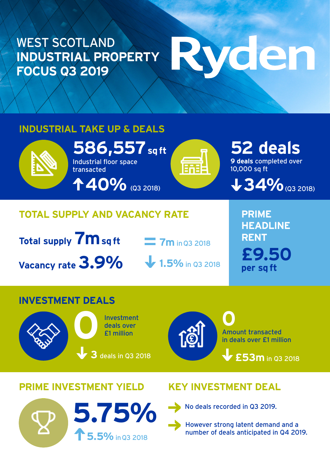### WEST SCOTLAND **INDUSTRIAL PROPERTY FOCUS Q3 2019**

# vden

#### **INDUSTRIAL TAKE UP & DEALS**



## **Total supply 7m sq ft Vacancy rate 3.9%**

**7m** in Q3 2018

**1.5%** in Q3 2018

**PRIME HEADLINE RENT £9.50 per sq ft**

#### **INVESTMENT DEALS**



Investment deals over<br>**11 million** 

**3** deals in Q3 2018



Amount transacted in deals over £1 million **0**

**£53m** in Q3 2018

#### **PRIME INVESTMENT YIELD KEY INVESTMENT DEAL**



No deals recorded in Q3 2019.

However strong latent demand and a number of deals anticipated in Q4 2019.